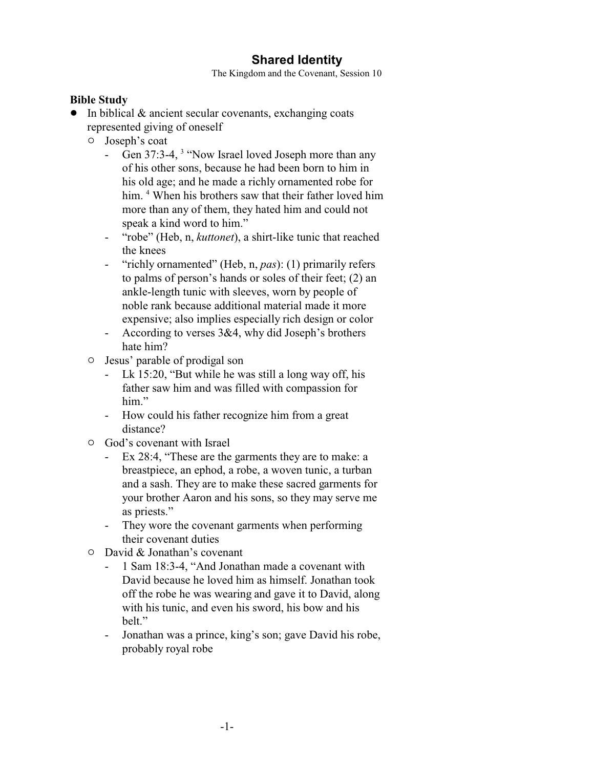## **Shared Identity**

The Kingdom and the Covenant, Session 10

## **Bible Study**

- $\bullet$  In biblical & ancient secular covenants, exchanging coats represented giving of oneself
	- $\circ$  Joseph's coat
		- Gen 37:3-4, <sup>3</sup> "Now Israel loved Joseph more than any of his other sons, because he had been born to him in his old age; and he made a richly ornamented robe for him. <sup>4</sup> When his brothers saw that their father loved him more than any of them, they hated him and could not speak a kind word to him."
		- "robe" (Heb, n, *kuttonet*), a shirt-like tunic that reached the knees
		- "richly ornamented" (Heb, n, *pas*): (1) primarily refers to palms of person's hands or soles of their feet; (2) an ankle-length tunic with sleeves, worn by people of noble rank because additional material made it more expensive; also implies especially rich design or color
		- According to verses 3&4, why did Joseph's brothers hate him?
	- $\circ$  Jesus' parable of prodigal son
		- Lk 15:20, "But while he was still a long way off, his father saw him and was filled with compassion for him."
		- How could his father recognize him from a great distance?
	- $\circ$  God's covenant with Israel
		- Ex 28:4, "These are the garments they are to make: a breastpiece, an ephod, a robe, a woven tunic, a turban and a sash. They are to make these sacred garments for your brother Aaron and his sons, so they may serve me as priests."
		- They wore the covenant garments when performing their covenant duties
	- $\circ$  David & Jonathan's covenant
		- 1 Sam 18:3-4, "And Jonathan made a covenant with David because he loved him as himself. Jonathan took off the robe he was wearing and gave it to David, along with his tunic, and even his sword, his bow and his belt."
		- Jonathan was a prince, king's son; gave David his robe, probably royal robe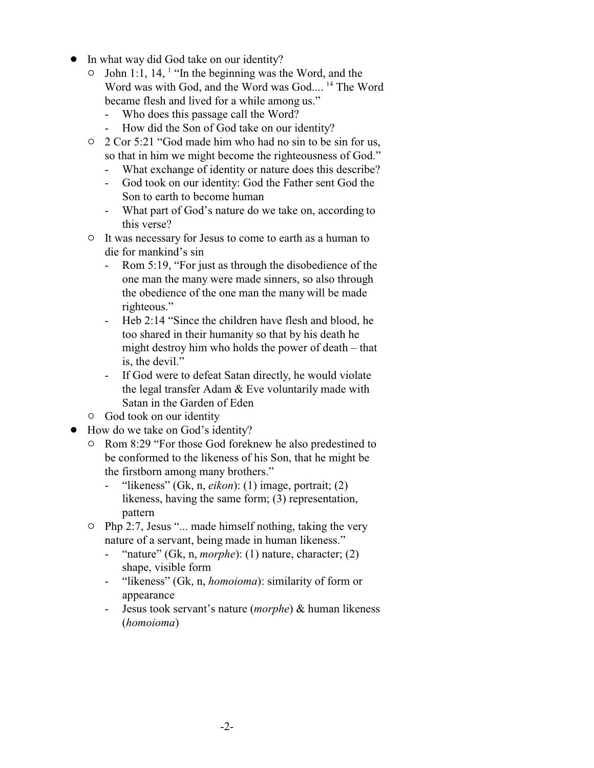- In what way did God take on our identity?
	- $\circ$  John 1:1, 14, <sup>1</sup> "In the beginning was the Word, and the Word was with God, and the Word was God....<sup>14</sup> The Word became flesh and lived for a while among us."
		- Who does this passage call the Word?
		- How did the Son of God take on our identity?
	- $\degree$  2 Cor 5:21 "God made him who had no sin to be sin for us, so that in him we might become the righteousness of God."
		- What exchange of identity or nature does this describe?
		- God took on our identity: God the Father sent God the Son to earth to become human
		- What part of God's nature do we take on, according to this verse?
	- $\circ$  It was necessary for Jesus to come to earth as a human to die for mankind's sin
		- Rom 5:19, "For just as through the disobedience of the one man the many were made sinners, so also through the obedience of the one man the many will be made righteous."
		- Heb 2:14 "Since the children have flesh and blood, he too shared in their humanity so that by his death he might destroy him who holds the power of death – that is, the devil."
		- If God were to defeat Satan directly, he would violate the legal transfer Adam & Eve voluntarily made with Satan in the Garden of Eden
	- $\circ$  God took on our identity
- How do we take on God's identity?
	- <sup>o</sup> Rom 8:29 "For those God foreknew he also predestined to be conformed to the likeness of his Son, that he might be the firstborn among many brothers."
		- "likeness" (Gk, n, *eikon*): (1) image, portrait; (2) likeness, having the same form; (3) representation, pattern
	- $\circ$  Php 2:7, Jesus "... made himself nothing, taking the very nature of a servant, being made in human likeness."
		- "nature" (Gk, n, *morphe*): (1) nature, character; (2) shape, visible form
		- "likeness" (Gk, n, *homoioma*): similarity of form or appearance
		- Jesus took servant's nature (*morphe*) & human likeness (*homoioma*)